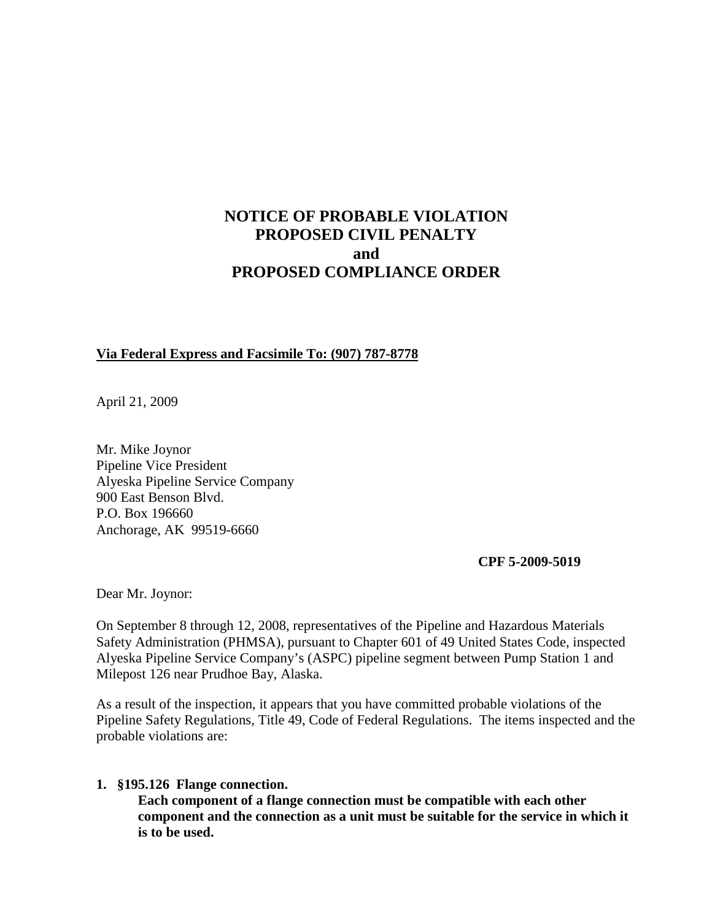# **NOTICE OF PROBABLE VIOLATION PROPOSED CIVIL PENALTY and PROPOSED COMPLIANCE ORDER**

#### **Via Federal Express and Facsimile To: (907) 787-8778**

April 21, 2009

Mr. Mike Joynor Pipeline Vice President Alyeska Pipeline Service Company 900 East Benson Blvd. P.O. Box 196660 Anchorage, AK 99519-6660

**CPF 5-2009-5019**

Dear Mr. Joynor:

On September 8 through 12, 2008, representatives of the Pipeline and Hazardous Materials Safety Administration (PHMSA), pursuant to Chapter 601 of 49 United States Code, inspected Alyeska Pipeline Service Company's (ASPC) pipeline segment between Pump Station 1 and Milepost 126 near Prudhoe Bay, Alaska.

As a result of the inspection, it appears that you have committed probable violations of the Pipeline Safety Regulations, Title 49, Code of Federal Regulations. The items inspected and the probable violations are:

#### **1. §195.126 Flange connection.**

**Each component of a flange connection must be compatible with each other component and the connection as a unit must be suitable for the service in which it is to be used.**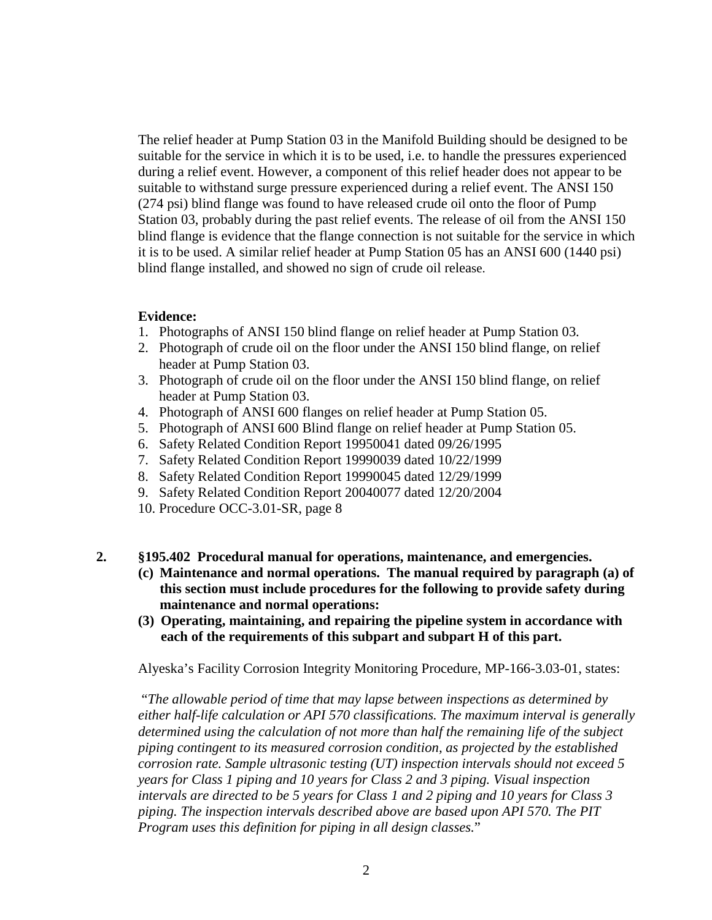The relief header at Pump Station 03 in the Manifold Building should be designed to be suitable for the service in which it is to be used, i.e. to handle the pressures experienced during a relief event. However, a component of this relief header does not appear to be suitable to withstand surge pressure experienced during a relief event. The ANSI 150 (274 psi) blind flange was found to have released crude oil onto the floor of Pump Station 03, probably during the past relief events. The release of oil from the ANSI 150 blind flange is evidence that the flange connection is not suitable for the service in which it is to be used. A similar relief header at Pump Station 05 has an ANSI 600 (1440 psi) blind flange installed, and showed no sign of crude oil release.

#### **Evidence:**

- 1. Photographs of ANSI 150 blind flange on relief header at Pump Station 03.
- 2. Photograph of crude oil on the floor under the ANSI 150 blind flange, on relief header at Pump Station 03.
- 3. Photograph of crude oil on the floor under the ANSI 150 blind flange, on relief header at Pump Station 03.
- 4. Photograph of ANSI 600 flanges on relief header at Pump Station 05.
- 5. Photograph of ANSI 600 Blind flange on relief header at Pump Station 05.
- 6. Safety Related Condition Report 19950041 dated 09/26/1995
- 7. Safety Related Condition Report 19990039 dated 10/22/1999
- 8. Safety Related Condition Report 19990045 dated 12/29/1999
- 9. Safety Related Condition Report 20040077 dated 12/20/2004
- 10. Procedure OCC-3.01-SR, page 8
- **2. §195.402 Procedural manual for operations, maintenance, and emergencies.**
	- **(c) Maintenance and normal operations. The manual required by paragraph (a) of this section must include procedures for the following to provide safety during maintenance and normal operations:**
	- **(3) Operating, maintaining, and repairing the pipeline system in accordance with each of the requirements of this subpart and subpart H of this part.**

Alyeska's Facility Corrosion Integrity Monitoring Procedure, MP-166-3.03-01, states:

"*The allowable period of time that may lapse between inspections as determined by either half-life calculation or API 570 classifications. The maximum interval is generally determined using the calculation of not more than half the remaining life of the subject piping contingent to its measured corrosion condition, as projected by the established corrosion rate. Sample ultrasonic testing (UT) inspection intervals should not exceed 5 years for Class 1 piping and 10 years for Class 2 and 3 piping. Visual inspection intervals are directed to be 5 years for Class 1 and 2 piping and 10 years for Class 3 piping. The inspection intervals described above are based upon API 570. The PIT Program uses this definition for piping in all design classes.*"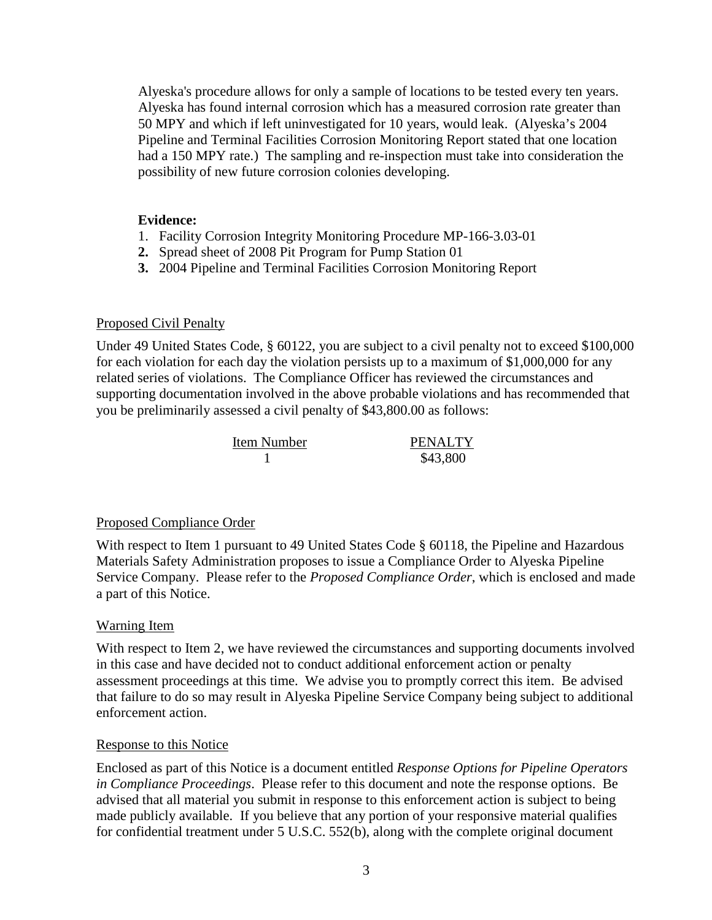Alyeska's procedure allows for only a sample of locations to be tested every ten years. Alyeska has found internal corrosion which has a measured corrosion rate greater than 50 MPY and which if left uninvestigated for 10 years, would leak. (Alyeska's 2004 Pipeline and Terminal Facilities Corrosion Monitoring Report stated that one location had a 150 MPY rate.) The sampling and re-inspection must take into consideration the possibility of new future corrosion colonies developing.

#### **Evidence:**

- 1. Facility Corrosion Integrity Monitoring Procedure MP-166-3.03-01
- **2.** Spread sheet of 2008 Pit Program for Pump Station 01
- **3.** 2004 Pipeline and Terminal Facilities Corrosion Monitoring Report

### Proposed Civil Penalty

Under 49 United States Code, § 60122, you are subject to a civil penalty not to exceed \$100,000 for each violation for each day the violation persists up to a maximum of \$1,000,000 for any related series of violations. The Compliance Officer has reviewed the circumstances and supporting documentation involved in the above probable violations and has recommended that you be preliminarily assessed a civil penalty of \$43,800.00 as follows:

| Item Number | <b>PENALTY</b> |
|-------------|----------------|
|             | \$43,800       |

### Proposed Compliance Order

With respect to Item 1 pursuant to 49 United States Code § 60118, the Pipeline and Hazardous Materials Safety Administration proposes to issue a Compliance Order to Alyeska Pipeline Service Company. Please refer to the *Proposed Compliance Order*, which is enclosed and made a part of this Notice.

## Warning Item

With respect to Item 2, we have reviewed the circumstances and supporting documents involved in this case and have decided not to conduct additional enforcement action or penalty assessment proceedings at this time. We advise you to promptly correct this item. Be advised that failure to do so may result in Alyeska Pipeline Service Company being subject to additional enforcement action.

## Response to this Notice

Enclosed as part of this Notice is a document entitled *Response Options for Pipeline Operators in Compliance Proceedings*. Please refer to this document and note the response options. Be advised that all material you submit in response to this enforcement action is subject to being made publicly available. If you believe that any portion of your responsive material qualifies for confidential treatment under 5 U.S.C. 552(b), along with the complete original document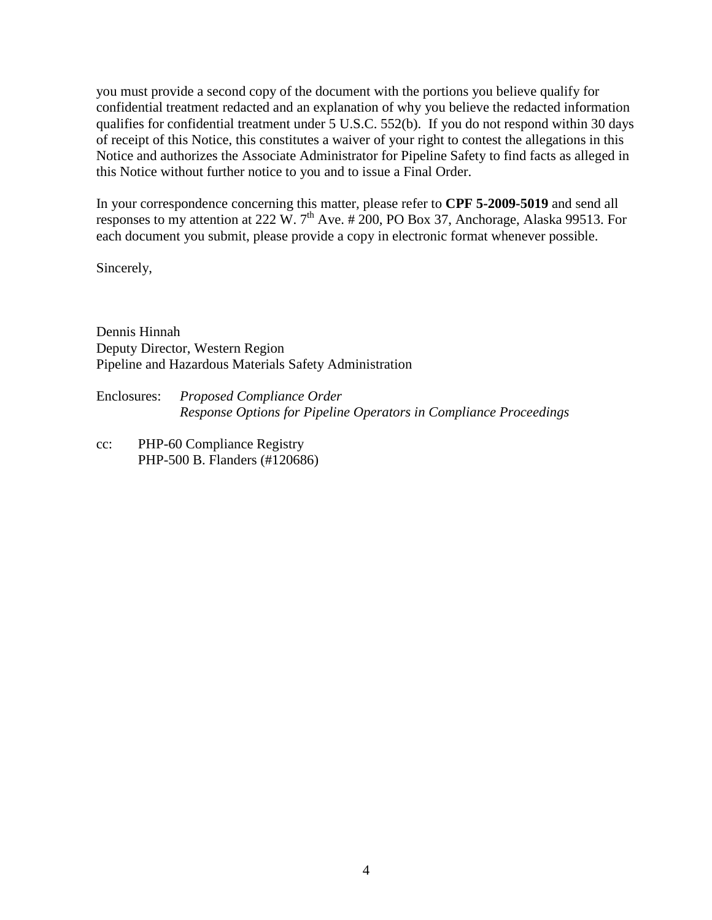you must provide a second copy of the document with the portions you believe qualify for confidential treatment redacted and an explanation of why you believe the redacted information qualifies for confidential treatment under 5 U.S.C. 552(b). If you do not respond within 30 days of receipt of this Notice, this constitutes a waiver of your right to contest the allegations in this Notice and authorizes the Associate Administrator for Pipeline Safety to find facts as alleged in this Notice without further notice to you and to issue a Final Order.

In your correspondence concerning this matter, please refer to **CPF 5-2009-5019** and send all responses to my attention at 222 W.  $7<sup>th</sup>$  Ave. # 200, PO Box 37, Anchorage, Alaska 99513. For each document you submit, please provide a copy in electronic format whenever possible.

Sincerely,

Dennis Hinnah Deputy Director, Western Region Pipeline and Hazardous Materials Safety Administration

Enclosures: *Proposed Compliance Order Response Options for Pipeline Operators in Compliance Proceedings*

cc: PHP-60 Compliance Registry PHP-500 B. Flanders (#120686)